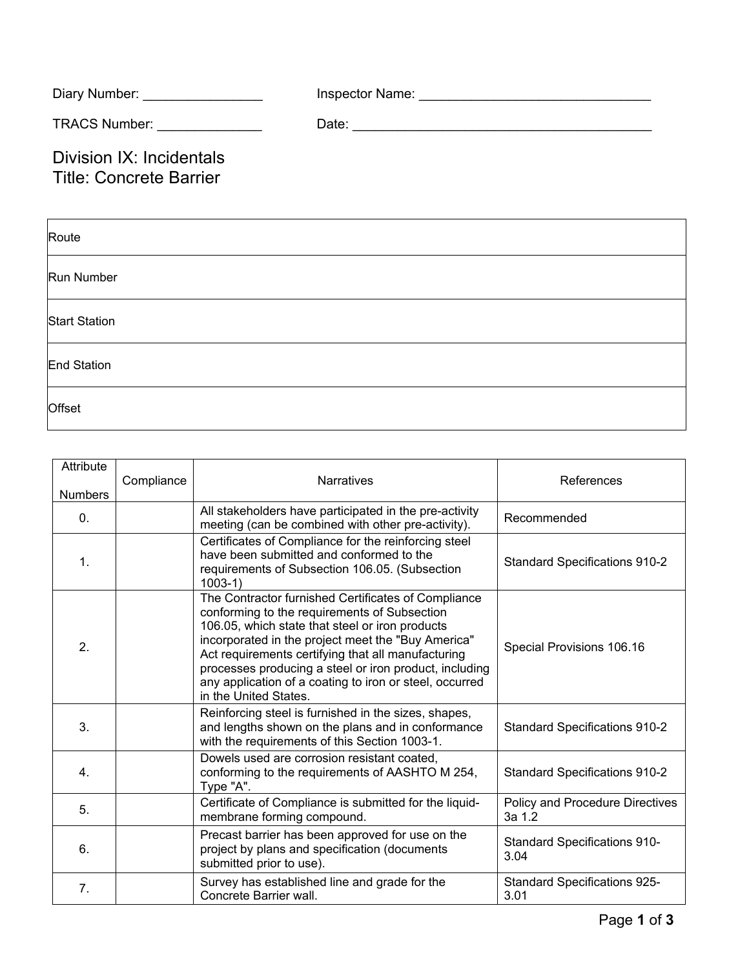| Diary Number: _________________                            |  |
|------------------------------------------------------------|--|
| TRACS Number: ______________                               |  |
| Division IX: Incidentals<br><b>Title: Concrete Barrier</b> |  |
| Route                                                      |  |
| <b>Run Number</b>                                          |  |
| <b>Start Station</b>                                       |  |

End Station

**Offset** 

| Attribute<br><b>Numbers</b> | Compliance | <b>Narratives</b>                                                                                                                                                                                                                                                                                                                                                                                                | References                                  |
|-----------------------------|------------|------------------------------------------------------------------------------------------------------------------------------------------------------------------------------------------------------------------------------------------------------------------------------------------------------------------------------------------------------------------------------------------------------------------|---------------------------------------------|
| $\mathbf{0}$ .              |            | All stakeholders have participated in the pre-activity<br>meeting (can be combined with other pre-activity).                                                                                                                                                                                                                                                                                                     | Recommended                                 |
| $\mathbf 1$ .               |            | Certificates of Compliance for the reinforcing steel<br>have been submitted and conformed to the<br>requirements of Subsection 106.05. (Subsection<br>$1003-1)$                                                                                                                                                                                                                                                  | <b>Standard Specifications 910-2</b>        |
| 2.                          |            | The Contractor furnished Certificates of Compliance<br>conforming to the requirements of Subsection<br>106.05, which state that steel or iron products<br>incorporated in the project meet the "Buy America"<br>Act requirements certifying that all manufacturing<br>processes producing a steel or iron product, including<br>any application of a coating to iron or steel, occurred<br>in the United States. | Special Provisions 106.16                   |
| 3.                          |            | Reinforcing steel is furnished in the sizes, shapes,<br>and lengths shown on the plans and in conformance<br>with the requirements of this Section 1003-1.                                                                                                                                                                                                                                                       | <b>Standard Specifications 910-2</b>        |
| 4.                          |            | Dowels used are corrosion resistant coated,<br>conforming to the requirements of AASHTO M 254,<br>Type "A".                                                                                                                                                                                                                                                                                                      | <b>Standard Specifications 910-2</b>        |
| 5.                          |            | Certificate of Compliance is submitted for the liquid-<br>membrane forming compound.                                                                                                                                                                                                                                                                                                                             | Policy and Procedure Directives<br>3a 1.2   |
| 6.                          |            | Precast barrier has been approved for use on the<br>project by plans and specification (documents<br>submitted prior to use).                                                                                                                                                                                                                                                                                    | <b>Standard Specifications 910-</b><br>3.04 |
| 7.                          |            | Survey has established line and grade for the<br>Concrete Barrier wall.                                                                                                                                                                                                                                                                                                                                          | <b>Standard Specifications 925-</b><br>3.01 |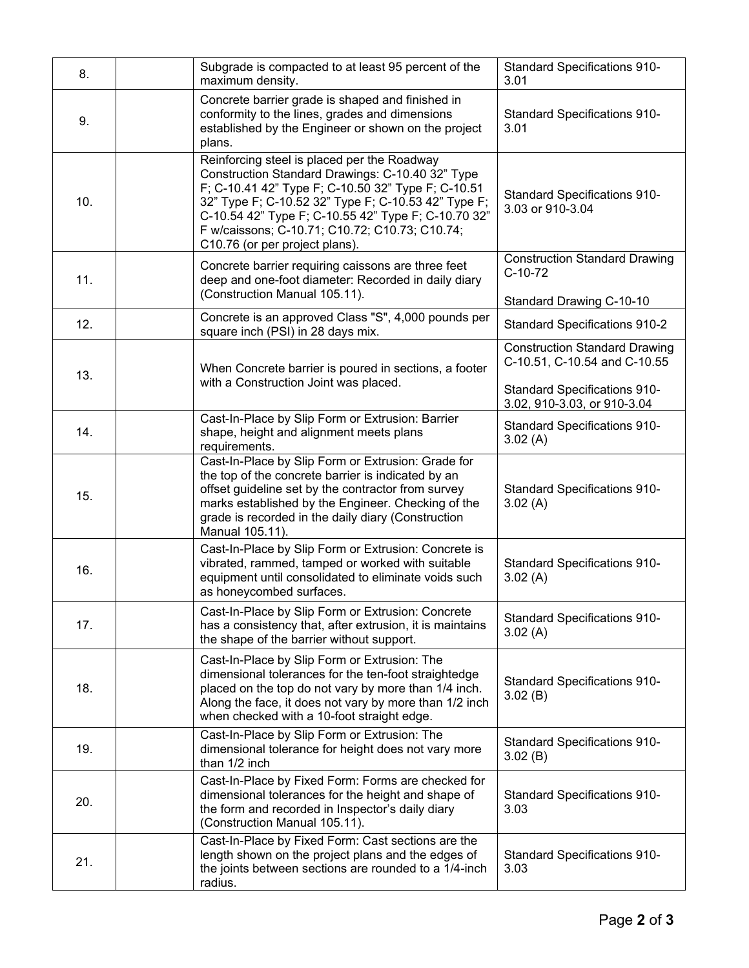| 8.  | Subgrade is compacted to at least 95 percent of the<br>maximum density.                                                                                                                                                                                                                                                                                 | <b>Standard Specifications 910-</b><br>3.01                                   |
|-----|---------------------------------------------------------------------------------------------------------------------------------------------------------------------------------------------------------------------------------------------------------------------------------------------------------------------------------------------------------|-------------------------------------------------------------------------------|
| 9.  | Concrete barrier grade is shaped and finished in<br>conformity to the lines, grades and dimensions<br>established by the Engineer or shown on the project<br>plans.                                                                                                                                                                                     | <b>Standard Specifications 910-</b><br>3.01                                   |
| 10. | Reinforcing steel is placed per the Roadway<br>Construction Standard Drawings: C-10.40 32" Type<br>F; C-10.41 42" Type F; C-10.50 32" Type F; C-10.51<br>32" Type F; C-10.52 32" Type F; C-10.53 42" Type F;<br>C-10.54 42" Type F; C-10.55 42" Type F; C-10.70 32"<br>F w/caissons; C-10.71; C10.72; C10.73; C10.74;<br>C10.76 (or per project plans). | <b>Standard Specifications 910-</b><br>3.03 or 910-3.04                       |
| 11. | Concrete barrier requiring caissons are three feet<br>deep and one-foot diameter: Recorded in daily diary<br>(Construction Manual 105.11).                                                                                                                                                                                                              | <b>Construction Standard Drawing</b><br>$C-10-72$<br>Standard Drawing C-10-10 |
| 12. | Concrete is an approved Class "S", 4,000 pounds per<br>square inch (PSI) in 28 days mix.                                                                                                                                                                                                                                                                | <b>Standard Specifications 910-2</b>                                          |
| 13. | When Concrete barrier is poured in sections, a footer                                                                                                                                                                                                                                                                                                   | <b>Construction Standard Drawing</b><br>C-10.51, C-10.54 and C-10.55          |
|     | with a Construction Joint was placed.                                                                                                                                                                                                                                                                                                                   | <b>Standard Specifications 910-</b><br>3.02, 910-3.03, or 910-3.04            |
| 14. | Cast-In-Place by Slip Form or Extrusion: Barrier<br>shape, height and alignment meets plans<br>requirements.                                                                                                                                                                                                                                            | <b>Standard Specifications 910-</b><br>3.02(A)                                |
| 15. | Cast-In-Place by Slip Form or Extrusion: Grade for<br>the top of the concrete barrier is indicated by an<br>offset guideline set by the contractor from survey<br>marks established by the Engineer. Checking of the<br>grade is recorded in the daily diary (Construction<br>Manual 105.11).                                                           | <b>Standard Specifications 910-</b><br>3.02(A)                                |
| 16. | Cast-In-Place by Slip Form or Extrusion: Concrete is<br>vibrated, rammed, tamped or worked with suitable<br>equipment until consolidated to eliminate voids such<br>as honeycombed surfaces.                                                                                                                                                            | <b>Standard Specifications 910-</b><br>3.02(A)                                |
| 17. | Cast-In-Place by Slip Form or Extrusion: Concrete<br>has a consistency that, after extrusion, it is maintains<br>the shape of the barrier without support.                                                                                                                                                                                              | <b>Standard Specifications 910-</b><br>3.02(A)                                |
| 18. | Cast-In-Place by Slip Form or Extrusion: The<br>dimensional tolerances for the ten-foot straightedge<br>placed on the top do not vary by more than 1/4 inch.<br>Along the face, it does not vary by more than 1/2 inch<br>when checked with a 10-foot straight edge.                                                                                    | <b>Standard Specifications 910-</b><br>3.02(B)                                |
| 19. | Cast-In-Place by Slip Form or Extrusion: The<br>dimensional tolerance for height does not vary more<br>than 1/2 inch                                                                                                                                                                                                                                    | <b>Standard Specifications 910-</b><br>3.02(B)                                |
| 20. | Cast-In-Place by Fixed Form: Forms are checked for<br>dimensional tolerances for the height and shape of<br>the form and recorded in Inspector's daily diary<br>(Construction Manual 105.11).                                                                                                                                                           | <b>Standard Specifications 910-</b><br>3.03                                   |
| 21. | Cast-In-Place by Fixed Form: Cast sections are the<br>length shown on the project plans and the edges of<br>the joints between sections are rounded to a 1/4-inch<br>radius.                                                                                                                                                                            | <b>Standard Specifications 910-</b><br>3.03                                   |